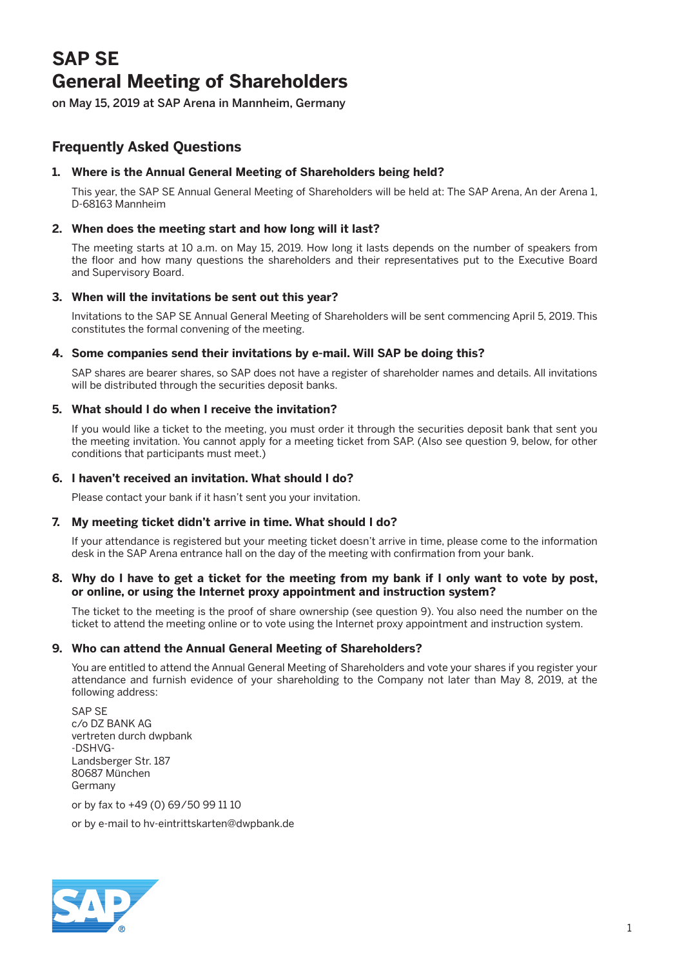# **SAP SE General Meeting of Shareholders**

on May 15, 2019 at SAP Arena in Mannheim, Germany

# **Frequently Asked Questions**

# **1. Where is the Annual General Meeting of Shareholders being held?**

 This year, the SAP SE Annual General Meeting of Shareholders will be held at: The SAP Arena, An der Arena 1, D-68163 Mannheim

# **2. When does the meeting start and how long will it last?**

 The meeting starts at 10 a.m. on May 15, 2019. How long it lasts depends on the number of speakers from the floor and how many questions the shareholders and their representatives put to the Executive Board and Supervisory Board.

# **3. When will the invitations be sent out this year?**

 Invitations to the SAP SE Annual General Meeting of Shareholders will be sent commencing April 5, 2019. This constitutes the formal convening of the meeting.

# **4. Some companies send their invitations by e-mail. Will SAP be doing this?**

 SAP shares are bearer shares, so SAP does not have a register of shareholder names and details. All invitations will be distributed through the securities deposit banks.

# **5. What should I do when I receive the invitation?**

 If you would like a ticket to the meeting, you must order it through the securities deposit bank that sent you the meeting invitation. You cannot apply for a meeting ticket from SAP. (Also see question 9, below, for other conditions that participants must meet.)

# **6. I haven't received an invitation. What should I do?**

Please contact your bank if it hasn't sent you your invitation.

# **7. My meeting ticket didn't arrive in time. What should I do?**

 If your attendance is registered but your meeting ticket doesn't arrive in time, please come to the information desk in the SAP Arena entrance hall on the day of the meeting with confirmation from your bank.

#### **8. Why do I have to get a ticket for the meeting from my bank if I only want to vote by post, or online, or using the Internet proxy appointment and instruction system?**

 The ticket to the meeting is the proof of share ownership (see question 9). You also need the number on the ticket to attend the meeting online or to vote using the Internet proxy appointment and instruction system.

# **9. Who can attend the Annual General Meeting of Shareholders?**

 You are entitled to attend the Annual General Meeting of Shareholders and vote your shares if you register your attendance and furnish evidence of your shareholding to the Company not later than May 8, 2019, at the following address:

 SAP SE c/o DZ BANK AG vertreten durch dwpbank -DSHVG-Landsberger Str. 187 80687 München Germany

or by fax to +49 (0) 69/50 99 11 10

or by e-mail to hv-eintrittskarten@dwpbank.de

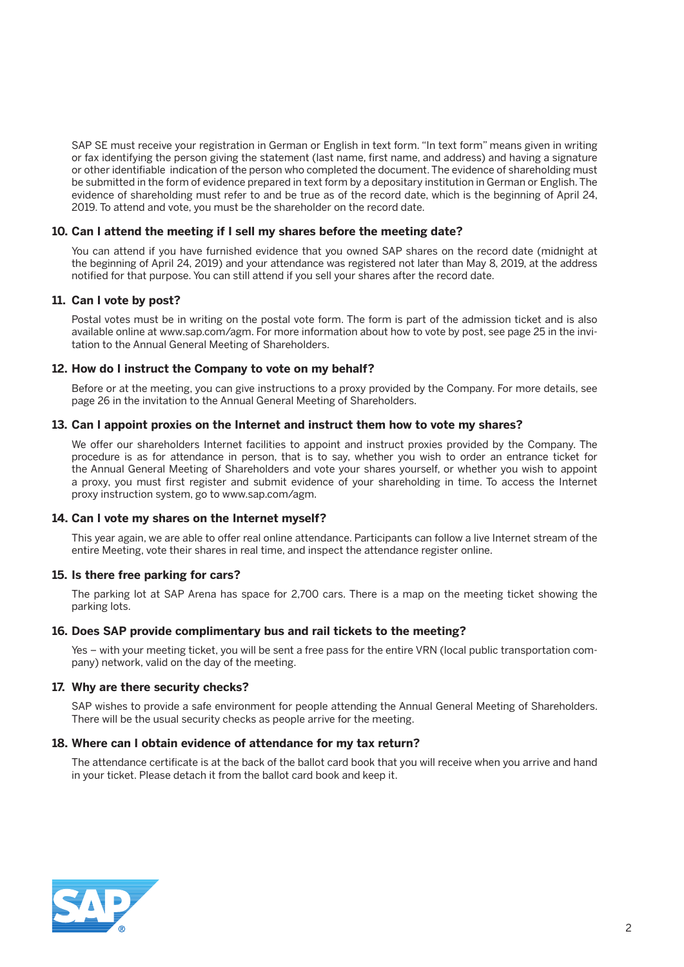SAP SE must receive your registration in German or English in text form. "In text form" means given in writing or fax identifying the person giving the statement (last name, first name, and address) and having a signature or other identifiable indication of the person who completed the document. The evidence of shareholding must be submitted in the form of evidence prepared in text form by a depositary institution in German or English. The evidence of shareholding must refer to and be true as of the record date, which is the beginning of April 24, 2019. To attend and vote, you must be the shareholder on the record date.

#### **10. Can I attend the meeting if I sell my shares before the meeting date?**

 You can attend if you have furnished evidence that you owned SAP shares on the record date (midnight at the beginning of April 24, 2019) and your attendance was registered not later than May 8, 2019, at the address notified for that purpose. You can still attend if you sell your shares after the record date.

#### **11. Can I vote by post?**

 Postal votes must be in writing on the postal vote form. The form is part of the admission ticket and is also available online at www.sap.com/agm. For more information about how to vote by post, see page 25 in the invitation to the Annual General Meeting of Shareholders.

#### **12. How do I instruct the Company to vote on my behalf?**

 Before or at the meeting, you can give instructions to a proxy provided by the Company. For more details, see page 26 in the invitation to the Annual General Meeting of Shareholders.

#### **13. Can I appoint proxies on the Internet and instruct them how to vote my shares?**

 We offer our shareholders Internet facilities to appoint and instruct proxies provided by the Company. The procedure is as for attendance in person, that is to say, whether you wish to order an entrance ticket for the Annual General Meeting of Shareholders and vote your shares yourself, or whether you wish to appoint a proxy, you must first register and submit evidence of your shareholding in time. To access the Internet proxy instruction system, go to www.sap.com/agm.

#### **14. Can I vote my shares on the Internet myself?**

 This year again, we are able to offer real online attendance. Participants can follow a live Internet stream of the entire Meeting, vote their shares in real time, and inspect the attendance register online.

#### **15. Is there free parking for cars?**

 The parking lot at SAP Arena has space for 2,700 cars. There is a map on the meeting ticket showing the parking lots.

#### **16. Does SAP provide complimentary bus and rail tickets to the meeting?**

 Yes – with your meeting ticket, you will be sent a free pass for the entire VRN (local public transportation company) network, valid on the day of the meeting.

#### **17. Why are there security checks?**

 SAP wishes to provide a safe environment for people attending the Annual General Meeting of Shareholders. There will be the usual security checks as people arrive for the meeting.

#### **18. Where can I obtain evidence of attendance for my tax return?**

 The attendance certificate is at the back of the ballot card book that you will receive when you arrive and hand in your ticket. Please detach it from the ballot card book and keep it.